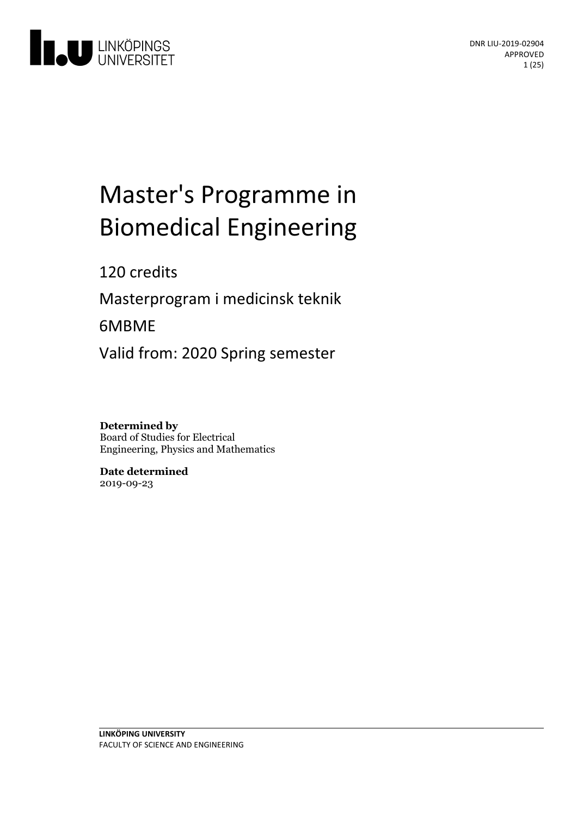

# Master's Programme in **Biomedical Engineering**

120 credits

Masterprogram i medicinsk teknik

6MBME

Valid from: 2020 Spring semester

**Determined by** Board of Studies for Electrical Engineering, Physics and Mathematics

**Date determined** 2019-09-23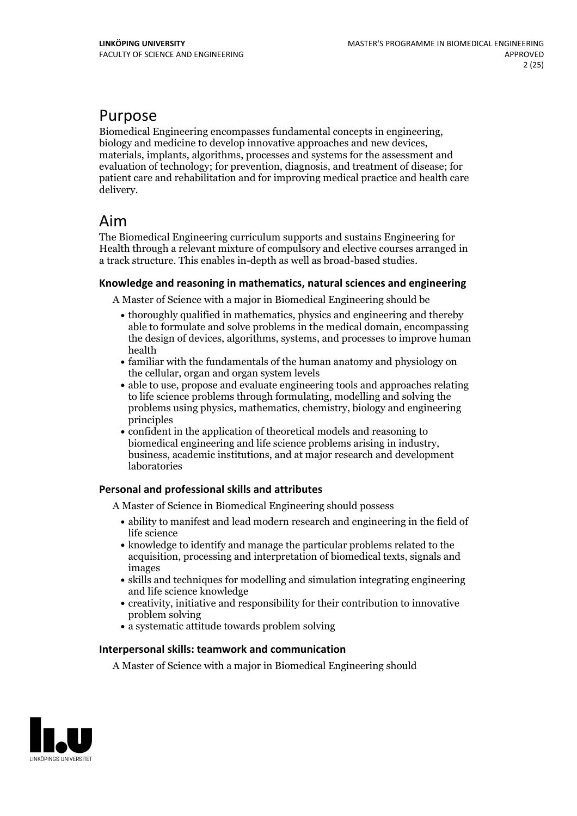# Purpose

Biomedical Engineering encompasses fundamental concepts in engineering, biology and medicine to develop innovative approaches and new devices, materials, implants, algorithms, processes and systems for the assessment and evaluation of technology; for prevention, diagnosis, and treatment of disease; for patient care and rehabilitation and for improving medical practice and health care delivery.

# Aim

The Biomedical Engineering curriculum supports and sustains Engineering for Health through a relevant mixture of compulsory and elective courses arranged in a track structure. This enables in-depth as well as broad-based studies.

#### **Knowledge and reasoningin mathematics, natural sciences and engineering**

A Master of Science with a major in Biomedical Engineering should be

- thoroughly qualified in mathematics, physics and engineering and thereby able to formulate and solve problems in the medical domain, encompassing the design of devices, algorithms, systems, and processes to improve human health
- familiar with the fundamentals of the human anatomy and physiology on the cellular, organ and organ system levels
- able to use, propose and evaluate engineering tools and approaches relating to life science problems through formulating, modelling and solving the problems using physics, mathematics, chemistry, biology and engineering principles
- confident in the application of theoretical models and reasoning to business, academic institutions, and at major research and development laboratories

#### **Personal and professional skills and attributes**

A Master of Science in Biomedical Engineering should possess

- ability to manifest and lead modern research and engineering in the field of life science
- knowledge to identify and manage the particular problems related to the acquisition, processing and interpretation of biomedical texts, signals and images
- skills and techniques for modelling and simulation integrating engineering and life science knowledge
- creativity, initiative and responsibility for their contribution to innovative problem solving
- a systematic attitude towards problem solving

#### **Interpersonal skills: teamwork and communication**

A Master of Science with a major in Biomedical Engineering should

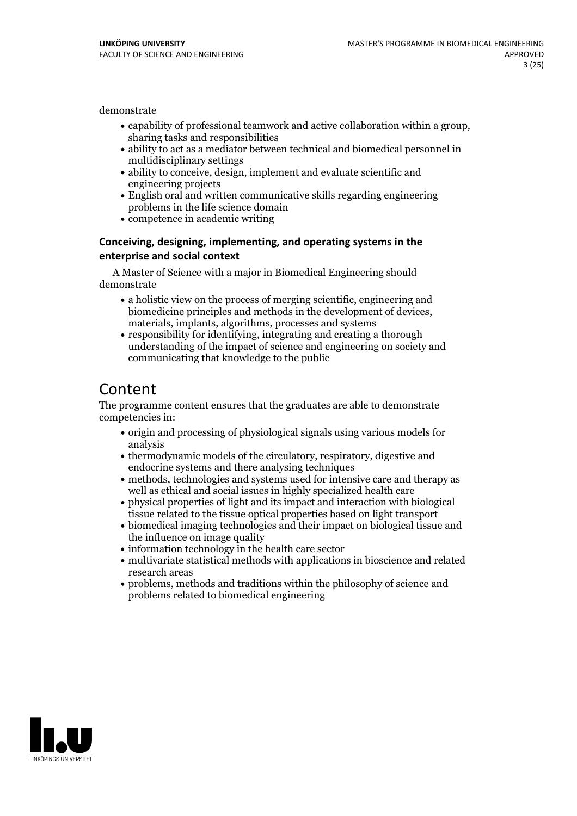demonstrate

- capability of professional teamwork and active collaboration within <sup>a</sup> group, sharing tasks and responsibilities
- ability to act as a mediator between technical and biomedical personnel in multidisciplinary settings
- ability to conceive, design, implement and evaluate scientific and engineering projects
- English oral and written communicative skills regarding engineering problems in the life science domain
- competence in academic writing

#### **Conceiving, designing, implementing, and operatingsystems in the enterprise and social context**

A Master of Science with a major in Biomedical Engineering should demonstrate

- a holistic view on the process of merging scientific, engineering and biomedicine principles and methods in the development of devices, materials, implants, algorithms, processes and systems
- responsibility for identifying, integrating and creating a thorough understanding of the impact of science and engineering on society and communicating that knowledge to the public

# Content

The programme content ensures that the graduates are able to demonstrate competencies in:

- origin and processing of physiological signals using various models for analysis
- thermodynamic models of the circulatory, respiratory, digestive and endocrine systems and there analysing techniques
- methods, technologies and systems used for intensive care and therapy as well as ethical and social issues in highly specialized health care
- physical properties of light and its impact and interaction with biological tissue related to the tissue optical properties based on light transport
- biomedical imaging technologies and their impact on biological tissue and the influence on image quality
- information technology in the health care sector
- multivariate statistical methods with applications in bioscience and related research areas
- problems, methods and traditions within the philosophy of science and problems related to biomedical engineering

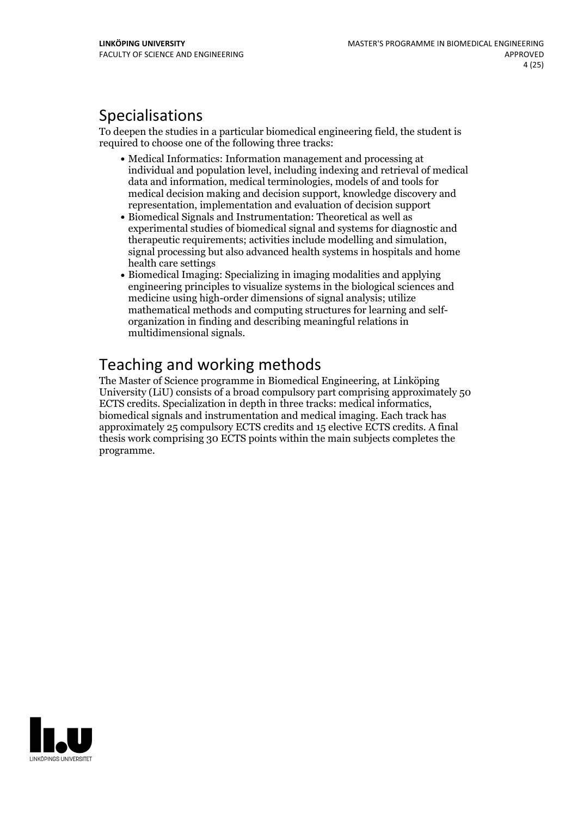# Specialisations

To deepen the studies in a particular biomedical engineering field, the student is required to choose one of the following three tracks:

- Medical Informatics: Information management and processing at individual and population level, including indexing and retrieval of medical data and information, medical terminologies, models of and tools for medical decision making and decision support, knowledge discovery and representation, implementation and evaluation of decision support
- Biomedical Signals and Instrumentation: Theoretical as well as experimental studies of biomedical signal and systems for diagnostic and signal processing but also advanced health systems in hospitals and home health care settings
- Biomedical Imaging: Specializing in imaging modalities and applying engineering principles to visualize systems in the biological sciences and medicine using high-order dimensions of signal analysis; utilize mathematical methods and computing structures for learning and self- organization in finding and describing meaningful relations in multidimensional signals.

# Teaching and working methods

The Master of Science programme in Biomedical Engineering, at Linköping University (LiU) consists of a broad compulsory part comprising approximately 50 ECTS credits. Specialization in depth in three tracks: medical informatics, biomedical signals and instrumentation and medical imaging. Each track has approximately 25 compulsory ECTS credits and 15 elective ECTS credits. A final thesis work comprising 30 ECTS points within the main subjects completes the programme.

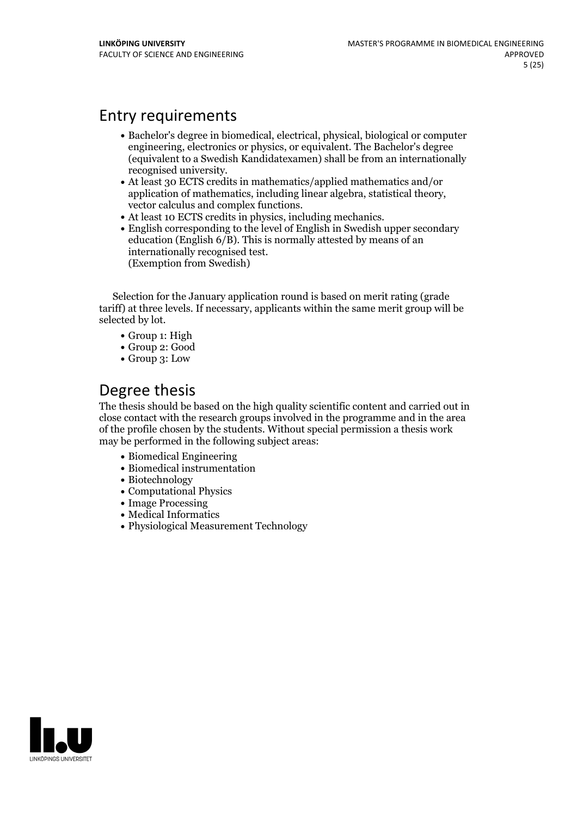# Entry requirements

- Bachelor's degree in biomedical, electrical, physical, biological or computer engineering, electronics or physics, or equivalent. The Bachelor's degree (equivalent to a Swedish Kandidatexamen) shall be from an internationally
- recognised university. At least <sup>30</sup> ECTS credits in mathematics/applied mathematics and/or application of mathematics, including linear algebra, statistical theory,<br>vector calculus and complex functions.<br>• At least 10 ECTS credits in physics, including mechanics.<br>• English corresponding to the level of English i
- 
- education (English  $6/B$ ). This is normally attested by means of an internationally recognised test. (Exemption from Swedish)

Selection for the January application round is based on merit rating (grade tariff) at three levels. If necessary, applicants within the same merit group will be selected by lot.

- Group 1: High
- Group 2: Good
- Group 3: Low

# Degree thesis

The thesis should be based on the high quality scientific content and carried outin close contact with the research groups involved in the programme and in the area of the profile chosen by the students. Without special permission a thesis work may be performed in the following subject areas:

- Biomedical Engineering
- Biomedical instrumentation
- Biotechnology
- Computational Physics
- Image Processing
- Medical Informatics
- Physiological Measurement Technology

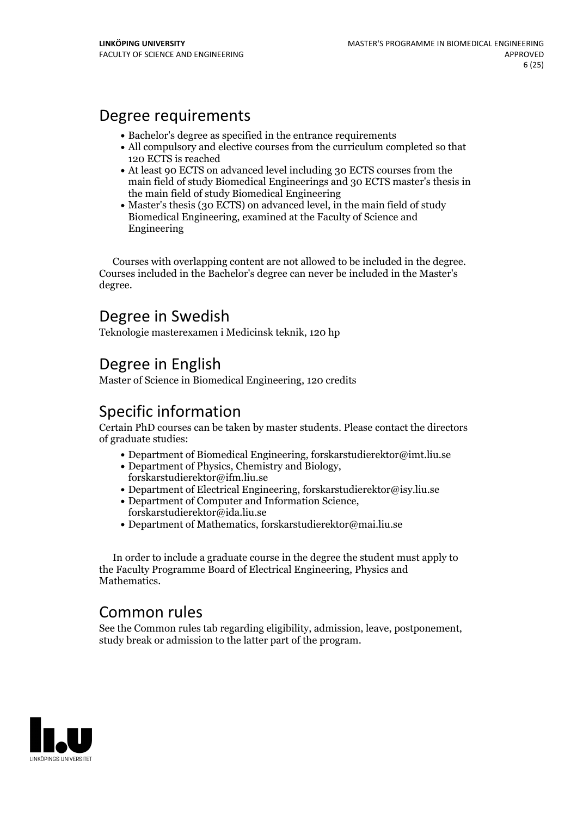# Degree requirements

- Bachelor's degree as specified in the entrance requirements
- All compulsory and elective courses from the curriculum completed so that 120 ECTS isreached
- At least 90 ECTS on advanced level including 30 ECTS courses from the main field of study Biomedical Engineerings and 30 ECTS master's thesis in the main field of study Biomedical Engineering
- Master's thesis (30 ECTS) on advanced level, in the main field of study Biomedical Engineering, examined at the Faculty of Science and Engineering

Courses with overlapping content are not allowed to be included in the degree. Courses included in the Bachelor's degree can never be included in the Master's degree.

# Degree in Swedish

Teknologie masterexamen i Medicinsk teknik, 120 hp

# Degree in English

Master of Science in Biomedical Engineering, 120 credits

# Specific information

Certain PhD courses can be taken by master students. Please contact the directors of graduate studies:

- Department of Biomedical Engineering, forskarstudierektor@imt.liu.se
- Department of Physics, Chemistry and Biology, forskarstudierektor@ifm.liu.se
- Department of Electrical Engineering, forskarstudierektor@isy.liu.se
- Department of Computer and Information Science, forskarstudierektor@ida.liu.se
- Department of Mathematics, forskarstudierektor@mai.liu.se

In order to include a graduate course in the degree the student must apply to the Faculty Programme Board of Electrical Engineering, Physics and **Mathematics** 

# Common rules

See the Common rules tab regarding eligibility, admission, leave, postponement, study break or admission to the latter part of the program.

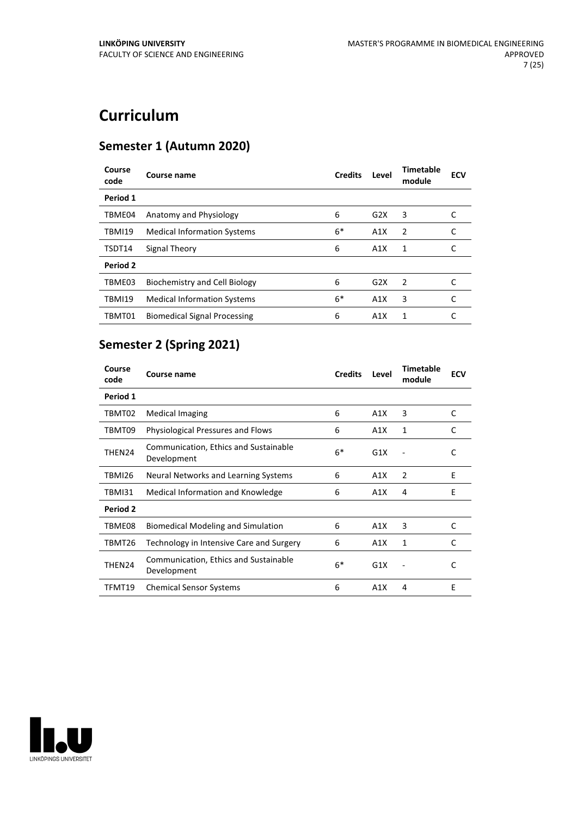# **Curriculum**

# **Semester 1 (Autumn 2020)**

| Course<br>code | <b>Course name</b>                   | <b>Credits</b> | Level | <b>Timetable</b><br>module | <b>ECV</b> |
|----------------|--------------------------------------|----------------|-------|----------------------------|------------|
| Period 1       |                                      |                |       |                            |            |
| TBME04         | Anatomy and Physiology               | 6              | G2X   | 3                          |            |
| <b>TBMI19</b>  | <b>Medical Information Systems</b>   | $6*$           | A1X   | 2                          |            |
| TSDT14         | Signal Theory                        | 6              | A1X   | 1                          |            |
| Period 2       |                                      |                |       |                            |            |
| TBME03         | <b>Biochemistry and Cell Biology</b> | 6              | G2X   | 2                          |            |
| <b>TBMI19</b>  | <b>Medical Information Systems</b>   | $6*$           | A1X   | 3                          |            |
| TBMT01         | <b>Biomedical Signal Processing</b>  | 6              | A1X   | 1                          |            |

# **Semester 2 (Spring 2021)**

| Course<br>code  | Course name                                          | <b>Credits</b> | Level | <b>Timetable</b><br>module | <b>ECV</b> |
|-----------------|------------------------------------------------------|----------------|-------|----------------------------|------------|
| Period 1        |                                                      |                |       |                            |            |
| TBMT02          | <b>Medical Imaging</b>                               | 6              | A1X   | 3                          | C          |
| TBMT09          | <b>Physiological Pressures and Flows</b>             | 6              | A1X   | 1                          | C          |
| THEN24          | Communication, Ethics and Sustainable<br>Development | $6*$           | G1X   |                            | C          |
| TBMI26          | Neural Networks and Learning Systems                 | 6              | A1X   | $\overline{2}$             | E          |
| TBMI31          | Medical Information and Knowledge                    | 6              | A1X   | 4                          | E          |
| <b>Period 2</b> |                                                      |                |       |                            |            |
| TBME08          | <b>Biomedical Modeling and Simulation</b>            | 6              | A1X   | 3                          | C          |
| TBMT26          | Technology in Intensive Care and Surgery             | 6              | A1X   | 1                          | C          |
| THEN24          | Communication, Ethics and Sustainable<br>Development | 6*             | G1X   |                            | C          |
| TFMT19          | <b>Chemical Sensor Systems</b>                       | 6              | A1X   | 4                          | E          |

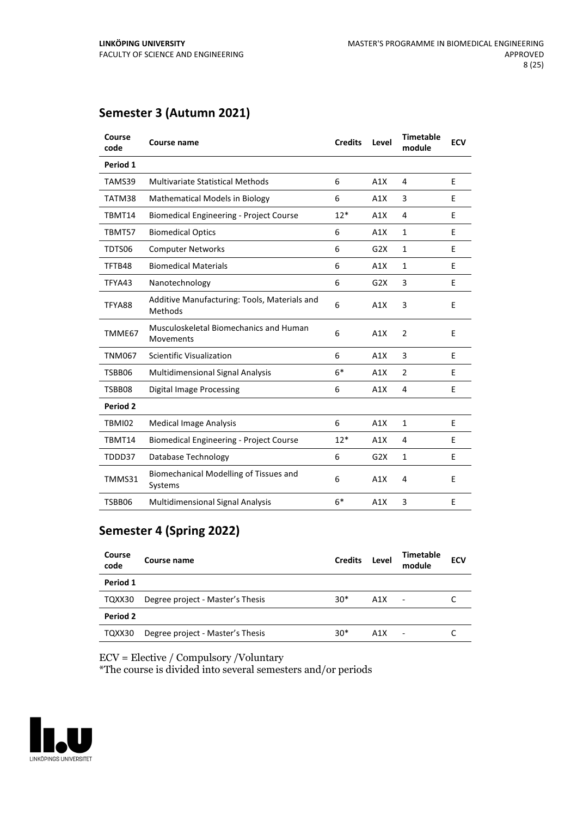| Course<br>code | Course name                                             | <b>Credits</b> | Level | <b>Timetable</b><br>module | <b>ECV</b> |
|----------------|---------------------------------------------------------|----------------|-------|----------------------------|------------|
| Period 1       |                                                         |                |       |                            |            |
| TAMS39         | <b>Multivariate Statistical Methods</b>                 | 6              | A1X   | 4                          | E          |
| TATM38         | <b>Mathematical Models in Biology</b>                   | 6              | A1X   | 3                          | E          |
| TBMT14         | <b>Biomedical Engineering - Project Course</b>          | $12*$          | A1X   | 4                          | Е          |
| TBMT57         | <b>Biomedical Optics</b>                                | 6              | A1X   | 1                          | E          |
| TDTS06         | <b>Computer Networks</b>                                | 6              | G2X   | $\mathbf{1}$               | E          |
| TFTB48         | <b>Biomedical Materials</b>                             | 6              | A1X   | $\mathbf{1}$               | E          |
| TFYA43         | Nanotechnology                                          | 6              | G2X   | 3                          | E          |
| TFYA88         | Additive Manufacturing: Tools, Materials and<br>Methods | 6              | A1X   | 3                          | E          |
| TMME67         | Musculoskeletal Biomechanics and Human<br>Movements     | 6              | A1X   | $\overline{2}$             | E          |
| <b>TNM067</b>  | <b>Scientific Visualization</b>                         | 6              | A1X   | 3                          | E          |
| TSBB06         | <b>Multidimensional Signal Analysis</b>                 | $6*$           | A1X   | $\overline{2}$             | E          |
| TSBB08         | <b>Digital Image Processing</b>                         | 6              | A1X   | 4                          | Е          |
| Period 2       |                                                         |                |       |                            |            |
| TBMI02         | <b>Medical Image Analysis</b>                           | 6              | A1X   | $\mathbf{1}$               | E          |
| TBMT14         | <b>Biomedical Engineering - Project Course</b>          | $12*$          | A1X   | 4                          | E          |
| TDDD37         | Database Technology                                     | 6              | G2X   | $\mathbf{1}$               | E          |
| TMMS31         | Biomechanical Modelling of Tissues and<br>Systems       | 6              | A1X   | 4                          | E          |
| TSBB06         | Multidimensional Signal Analysis                        | $6*$           | A1X   | 3                          | E          |

# **Semester 3 (Autumn 2021)**

# **Semester 4 (Spring 2022)**

| Course<br>code | Course name                      | <b>Credits</b> | Level | Timetable<br>module      | <b>ECV</b> |
|----------------|----------------------------------|----------------|-------|--------------------------|------------|
| Period 1       |                                  |                |       |                          |            |
| TQXX30         | Degree project - Master's Thesis | $30*$          | A1X   | $\overline{\phantom{a}}$ |            |
| Period 2       |                                  |                |       |                          |            |
| TQXX30         | Degree project - Master's Thesis | $30*$          | A1X   | ٠                        |            |

ECV = Elective / Compulsory /Voluntary

\*The course is divided into several semesters and/or periods

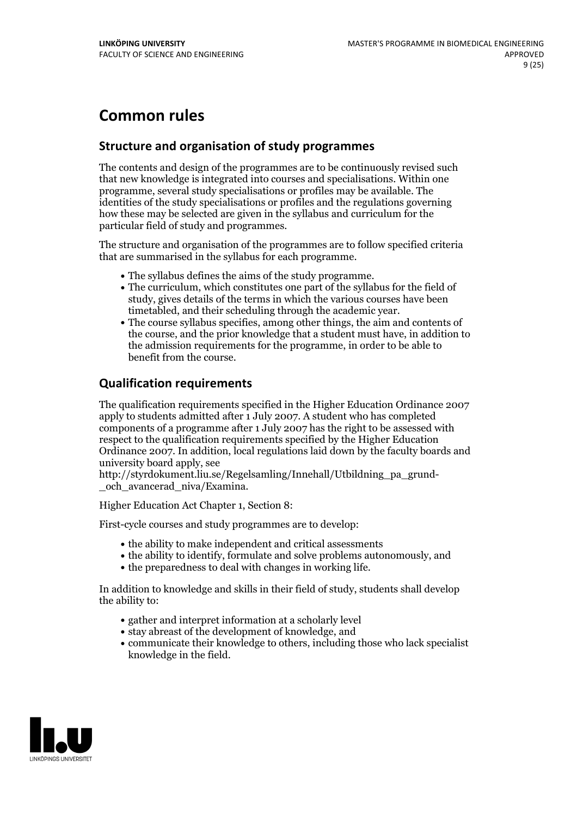# **Common rules**

### **Structure and organisation of study programmes**

The contents and design of the programmes are to be continuously revised such that new knowledge is integrated into courses and specialisations. Within one programme, several study specialisations or profiles may be available. The identities of the study specialisations or profiles and the regulations governing how these may be selected are given in the syllabus and curriculum for the particular field of study and programmes.

The structure and organisation of the programmes are to follow specified criteria that are summarised in the syllabus for each programme.

- 
- The syllabus defines the aims of the study programme.<br>• The curriculum, which constitutes one part of the syllabus for the field of study, gives details of the terms in which the various courses have been
- The course syllabus specifies, among other things, the aim and contents of the course, and the prior knowledge that a student must have, in addition to the admission requirements for the programme, in order to be able to benefit from the course.

### **Qualification requirements**

The qualification requirements specified in the Higher Education Ordinance 2007 apply to students admitted after 1 July 2007. A student who has completed components of a programme after 1 July 2007 has the right to be assessed with respect to the qualification requirements specified by the Higher Education Ordinance 2007. In addition, local regulations laid down by the faculty boards and university board apply, see

http://styrdokument.liu.se/Regelsamling/Innehall/Utbildning\_pa\_grund-och\_avancerad\_niva/Examina.

Higher Education Act Chapter 1, Section 8:

First-cycle courses and study programmes are to develop:

- the ability to make independent and critical assessments
- the ability to identify, formulate and solve problems autonomously, and
- the preparedness to deal with changes in working life.

In addition to knowledge and skills in their field of study, students shall develop the ability to:

- gather and interpret information at a scholarly level
- stay abreast of the development of knowledge, and
- communicate their knowledge to others, including those who lack specialist knowledge in the field.

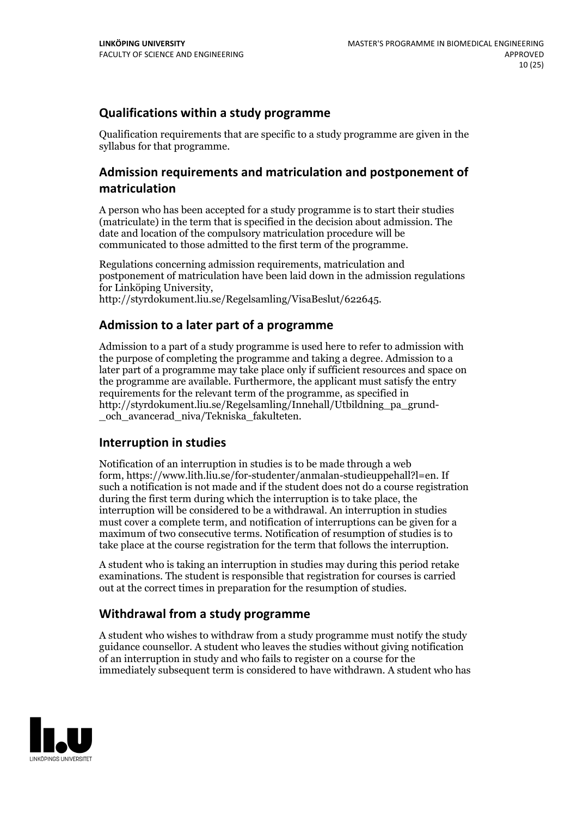# **Qualifications within a study programme**

Qualification requirements that are specific to a study programme are given in the syllabus for that programme.

# **Admission requirements and matriculation and postponement of matriculation**

A person who has been accepted for a study programme is to start their studies (matriculate) in the term that is specified in the decision about admission. The date and location of the compulsory matriculation procedure will be communicated to those admitted to the first term of the programme.

Regulations concerning admission requirements, matriculation and postponement of matriculation have been laid down in the admission regulations for Linköping University, http://styrdokument.liu.se/Regelsamling/VisaBeslut/622645.

### **Admission to a later part of a programme**

Admission to a part of a study programme is used here to refer to admission with the purpose of completing the programme and taking a degree. Admission to a later part of a programme may take place only if sufficient resources and space on the programme are available. Furthermore, the applicant must satisfy the entry requirements for the relevant term of the programme, as specified in http://styrdokument.liu.se/Regelsamling/Innehall/Utbildning\_pa\_grund- \_och\_avancerad\_niva/Tekniska\_fakulteten.

# **Interruption in studies**

Notification of an interruption in studies is to be made through a web form, https://www.lith.liu.se/for-studenter/anmalan-studieuppehall?l=en. If such a notification is not made and if the student does not do a course registration during the first term during which the interruption is to take place, the interruption will be considered to be a withdrawal. An interruption in studies must cover a complete term, and notification of interruptions can be given for a maximum of two consecutive terms. Notification of resumption of studies is to take place at the course registration for the term that follows the interruption.

A student who is taking an interruption in studies may during this period retake examinations. The student is responsible that registration for courses is carried out at the correct times in preparation for the resumption of studies.

# **Withdrawal from a study programme**

A student who wishes to withdraw from a study programme must notify the study guidance counsellor. A student who leaves the studies without giving notification of an interruption in study and who fails to register on a course for the immediately subsequent term is considered to have withdrawn. A student who has

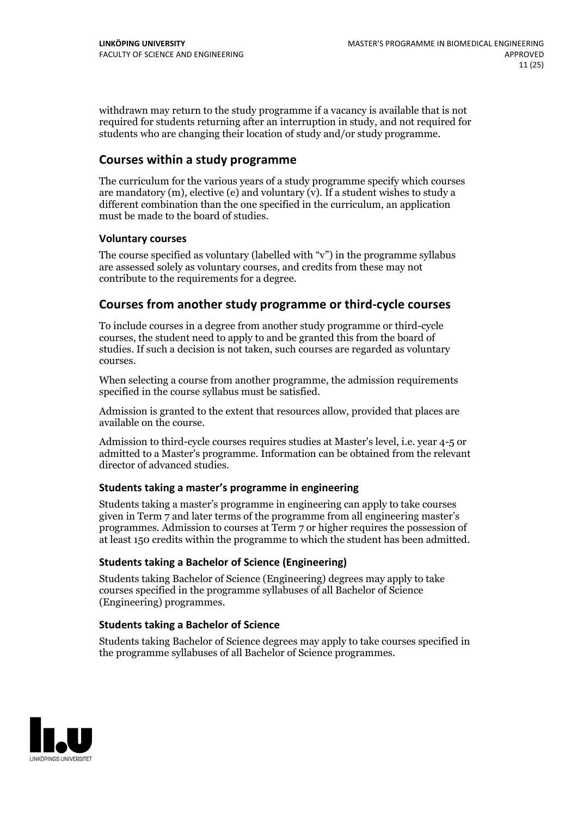withdrawn may return to the study programme if a vacancy is available that is not required for students returning after an interruption in study, and not required for students who are changing their location of study and/or study programme.

### **Courses within a study programme**

The curriculum for the various years of a study programme specify which courses are mandatory  $(m)$ , elective (e) and voluntary  $(v)$ . If a student wishes to study a different combination than the one specified in the curriculum, an application must be made to the board of studies.

#### **Voluntarycourses**

The course specified as voluntary (labelled with "v") in the programme syllabus are assessed solely as voluntary courses, and credits from these may not contribute to the requirements for a degree.

#### **Courses from another study programme orthird-cycle courses**

To include courses in a degree from another study programme or third-cycle courses, the student need to apply to and be granted this from the board of studies. If such a decision is not taken, such courses are regarded as voluntary courses.

When selecting a course from another programme, the admission requirements specified in the course syllabus must be satisfied.

Admission is granted to the extent that resources allow, provided that places are available on the course.

Admission to third-cycle courses requires studies at Master's level, i.e. year 4-5 or admitted to a Master's programme. Information can be obtained from the relevant director of advanced studies.

#### **Students taking a master's programme in engineering**

Students taking a master's programme in engineering can apply to take courses given in Term 7 and later terms of the programme from all engineering master's programmes. Admission to courses at Term 7 or higher requires the possession of at least 150 credits within the programme to which the student has been admitted.

#### **Students taking a Bachelor of Science (Engineering)**

Students taking Bachelor of Science (Engineering) degrees may apply to take courses specified in the programme syllabuses of all Bachelor of Science (Engineering) programmes.

#### **Students taking a Bachelor of Science**

Students taking Bachelor of Science degrees may apply to take courses specified in the programme syllabuses of all Bachelor of Science programmes.

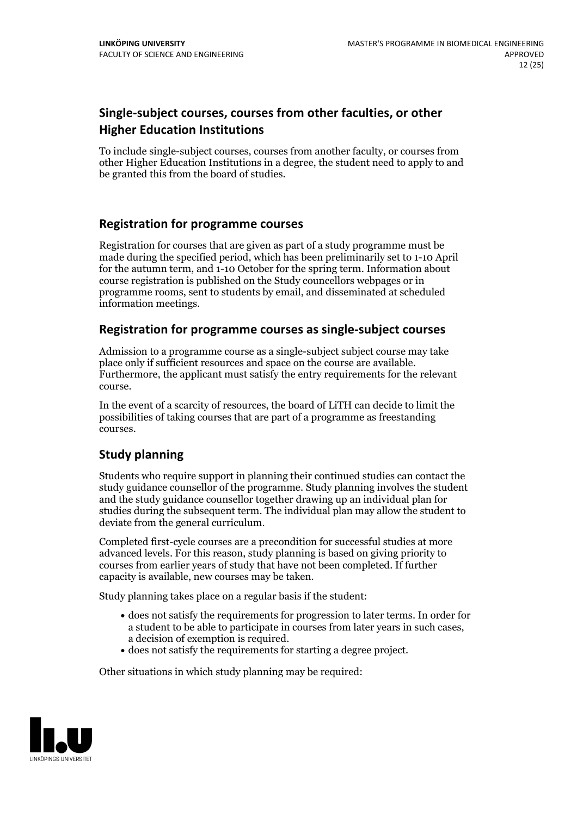# **Single-subject courses, courses from other faculties, or other Higher Education Institutions**

To include single-subject courses, courses from another faculty, or courses from other Higher Education Institutions in a degree, the student need to apply to and be granted this from the board of studies.

### **Registration for programme courses**

Registration for courses that are given as part of a study programme must be made during the specified period, which has been preliminarily set to 1-10 April for the autumn term, and 1-10 October for the spring term. Information about course registration is published on the Study councellors webpages or in programme rooms, sent to students by email, and disseminated at scheduled information meetings.

#### **Registration for programme courses as single-subject courses**

Admission to a programme course as a single-subject subject course may take place only if sufficient resources and space on the course are available. Furthermore, the applicant must satisfy the entry requirements for the relevant course.

In the event of a scarcity of resources, the board of LiTH can decide to limit the possibilities of taking courses that are part of a programme as freestanding courses.

#### **Study planning**

Students who require support in planning their continued studies can contact the study guidance counsellor of the programme. Study planning involves the student and the study guidance counsellor together drawing up an individual plan for studies during the subsequent term. The individual plan may allow the student to deviate from the general curriculum.

Completed first-cycle courses are a precondition for successful studies at more advanced levels. For this reason, study planning is based on giving priority to courses from earlier years of study that have not been completed. If further capacity is available, new courses may be taken.

Study planning takes place on a regular basis if the student:

- does not satisfy the requirements for progression to later terms. In order for a student to be able to participate in courses from later years in such cases, a decision of exemption is required.<br>
• does not satisfy the requirements for starting a degree project.
- 

Other situations in which study planning may be required:

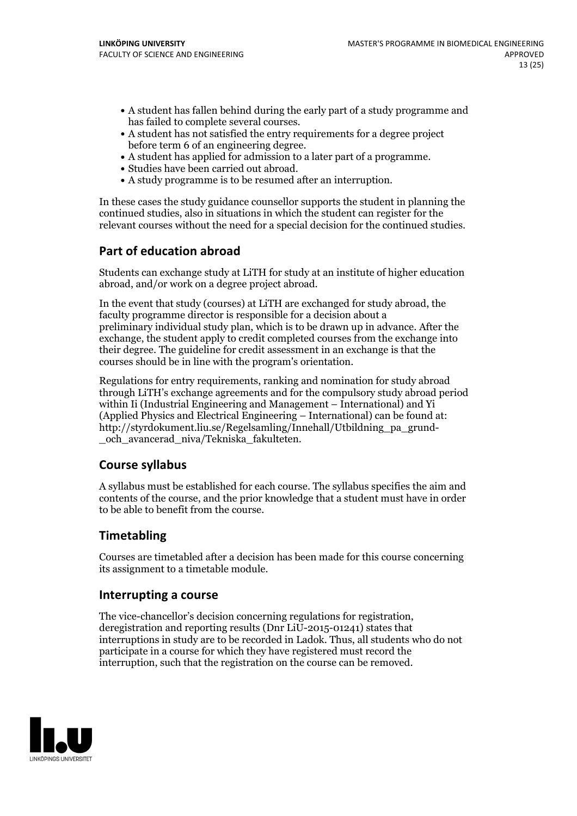- A student has fallen behind during the early part of a study programme and
- has failed to complete several courses.<br>• A student has not satisfied the entry requirements for a degree project<br>before term 6 of an engineering degree.
- A student has applied for admission to a later part of a programme.<br>• Studies have been carried out abroad.<br>• A study programme is to be resumed after an interruption.
- 
- 

In these cases the study guidance counsellor supports the student in planning the continued studies, also in situations in which the student can register for the relevant courses without the need for a special decision for the continued studies.

# **Part of education abroad**

Students can exchange study at LiTH for study at an institute of higher education abroad, and/or work on a degree project abroad.

In the event that study (courses) at LiTH are exchanged for study abroad, the faculty programme director is responsible for a decision about a preliminary individual study plan, which is to be drawn up in advance. After the exchange, the student apply to credit completed courses from the exchange into their degree. The guideline for credit assessment in an exchange is that the courses should be in line with the program's orientation.

Regulations for entry requirements, ranking and nomination for study abroad through LiTH's exchange agreements and for the compulsory study abroad period within Ii (Industrial Engineering and Management – International) and Yi (Applied Physics and Electrical Engineering – International) can be found at: http://styrdokument.liu.se/Regelsamling/Innehall/Utbildning\_pa\_grund- \_och\_avancerad\_niva/Tekniska\_fakulteten.

# **Course syllabus**

A syllabus must be established for each course. The syllabus specifies the aim and contents of the course, and the prior knowledge that a student must have in order to be able to benefit from the course.

# **Timetabling**

Courses are timetabled after a decision has been made for this course concerning its assignment to a timetable module.

#### **Interrupting a course**

The vice-chancellor's decision concerning regulations for registration, deregistration and reporting results (Dnr LiU-2015-01241) states that interruptions in study are to be recorded in Ladok. Thus, all students who do not participate in a course for which they have registered must record the interruption, such that the registration on the course can be removed.

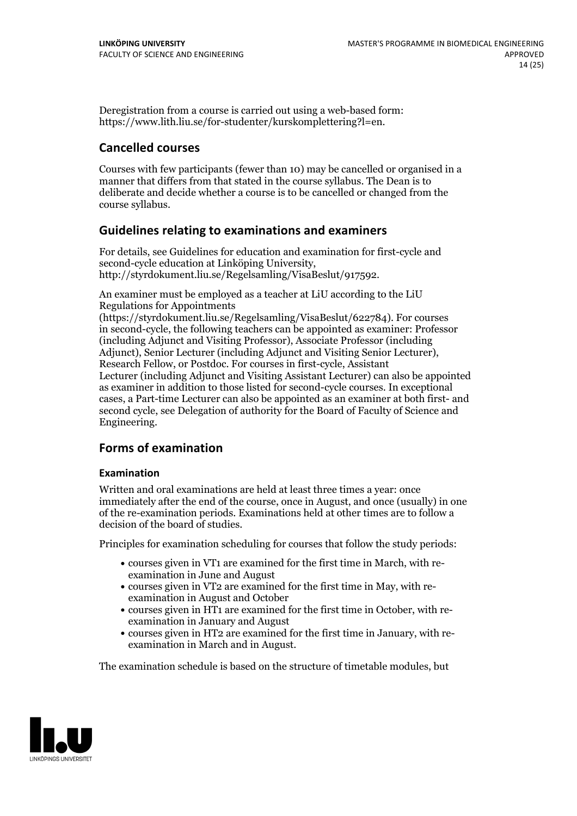Deregistration from a course is carried out using a web-based form: https://www.lith.liu.se/for-studenter/kurskomplettering?l=en.

### **Cancelled courses**

Courses with few participants (fewer than 10) may be cancelled or organised in a manner that differs from that stated in the course syllabus. The Dean is to deliberate and decide whether a course is to be cancelled or changed from the course syllabus.

#### **Guidelines relatingto examinations and examiners**

For details, see Guidelines for education and examination for first-cycle and second-cycle education at Linköping University, http://styrdokument.liu.se/Regelsamling/VisaBeslut/917592.

An examiner must be employed as a teacher at LiU according to the LiU Regulations for Appointments

(https://styrdokument.liu.se/Regelsamling/VisaBeslut/622784). For courses in second-cycle, the following teachers can be appointed as examiner: Professor (including Adjunct and Visiting Professor), Associate Professor (including Adjunct), Senior Lecturer (including Adjunct and Visiting Senior Lecturer), Research Fellow, or Postdoc. For courses in first-cycle, Assistant Lecturer (including Adjunct and Visiting Assistant Lecturer) can also be appointed as examiner in addition to those listed for second-cycle courses. In exceptional cases, a Part-time Lecturer can also be appointed as an examiner at both first- and second cycle, see Delegation of authority for the Board of Faculty of Science and Engineering.

# **Forms of examination**

#### **Examination**

Written and oral examinations are held at least three times a year: once immediately after the end of the course, once in August, and once (usually) in one of the re-examination periods. Examinations held at other times are to follow a decision of the board of studies.

Principles for examination scheduling for courses that follow the study periods:

- courses given in VT1 are examined for the first time in March, with re-examination in June and August
- courses given in VT2 are examined for the first time in May, with re-examination in August and October
- courses given in HT1 are examined for the first time in October, with re-examination in January and August
- courses given in HT2 are examined for the first time in January, with re-examination in March and in August.

The examination schedule is based on the structure of timetable modules, but

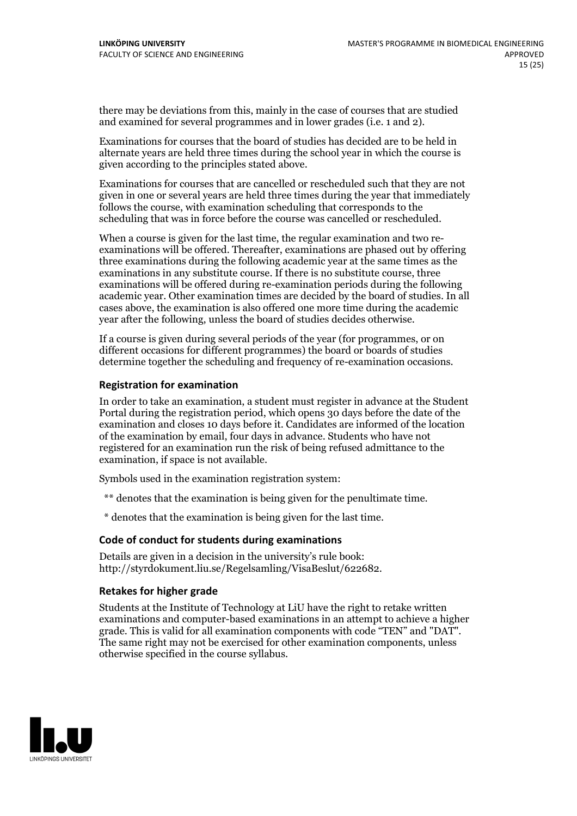there may be deviations from this, mainly in the case of courses that are studied and examined for several programmes and in lower grades (i.e. 1 and 2).

Examinations for courses that the board of studies has decided are to be held in alternate years are held three times during the school year in which the course is given according to the principles stated above.

Examinations for courses that are cancelled or rescheduled such that they are not given in one or several years are held three times during the year that immediately follows the course, with examination scheduling that corresponds to the scheduling that was in force before the course was cancelled or rescheduled.

When a course is given for the last time, the regular examination and two re-<br>examinations will be offered. Thereafter, examinations are phased out by offering three examinations during the following academic year at the same times as the examinations in any substitute course. If there is no substitute course, three examinations will be offered during re-examination periods during the following academic year. Other examination times are decided by the board of studies. In all cases above, the examination is also offered one more time during the academic year after the following, unless the board of studies decides otherwise.

If a course is given during several periods of the year (for programmes, or on different occasions for different programmes) the board or boards of studies determine together the scheduling and frequency of re-examination occasions.

#### **Registration for examination**

In order to take an examination, a student must register in advance at the Student Portal during the registration period, which opens 30 days before the date of the examination and closes 10 days before it. Candidates are informed of the location of the examination by email, four days in advance. Students who have not registered for an examination run the risk of being refused admittance to the examination, if space is not available.

Symbols used in the examination registration system:

\*\* denotes that the examination is being given for the penultimate time.

\* denotes that the examination is being given for the last time.

#### **Code of conduct for students during examinations**

Details are given in a decision in the university's rule book: http://styrdokument.liu.se/Regelsamling/VisaBeslut/622682.

#### **Retakes for higher grade**

Students at the Institute of Technology at LiU have the right to retake written examinations and computer-based examinations in an attempt to achieve a higher grade. This is valid for all examination components with code "TEN" and "DAT". The same right may not be exercised for other examination components, unless otherwise specified in the course syllabus.

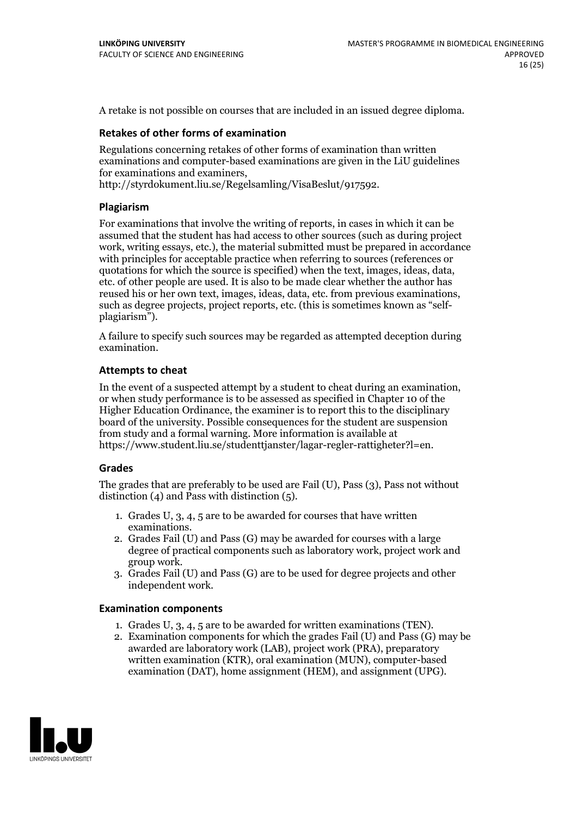A retake is not possible on courses that are included in an issued degree diploma.

#### **Retakes of other forms of examination**

Regulations concerning retakes of other forms of examination than written examinations and computer-based examinations are given in the LiU guidelines for examinations and examiners, http://styrdokument.liu.se/Regelsamling/VisaBeslut/917592.

#### **Plagiarism**

For examinations that involve the writing of reports, in cases in which it can be assumed that the student has had access to other sources (such as during project work, writing essays, etc.), the material submitted must be prepared in accordance with principles for acceptable practice when referring to sources (references or quotations for which the source is specified) when the text, images, ideas, data, etc. of other people are used. It is also to be made clear whether the author has reused his or her own text, images, ideas, data, etc. from previous examinations, such as degree projects, project reports, etc. (this is sometimes known as "self- plagiarism").

A failure to specify such sources may be regarded as attempted deception during examination.

#### **Attempts to cheat**

In the event of <sup>a</sup> suspected attempt by <sup>a</sup> student to cheat during an examination, or when study performance is to be assessed as specified in Chapter <sup>10</sup> of the Higher Education Ordinance, the examiner is to report this to the disciplinary board of the university. Possible consequences for the student are suspension from study and a formal warning. More information is available at https://www.student.liu.se/studenttjanster/lagar-regler-rattigheter?l=en.

#### **Grades**

The grades that are preferably to be used are Fail (U), Pass (3), Pass not without distinction  $(4)$  and Pass with distinction  $(5)$ .

- 1. Grades U, 3, 4, 5 are to be awarded for courses that have written
- examinations. 2. Grades Fail (U) and Pass (G) may be awarded for courses with <sup>a</sup> large degree of practical components such as laboratory work, project work and group work. 3. Grades Fail (U) and Pass (G) are to be used for degree projects and other
- independent work.

#### **Examination components**

- 1. Grades U, 3, 4, <sup>5</sup> are to be awarded for written examinations (TEN). 2. Examination components for which the grades Fail (U) and Pass (G) may be
- awarded are laboratory work (LAB), project work (PRA), preparatory written examination (KTR), oral examination (MUN), computer-based examination (DAT), home assignment (HEM), and assignment (UPG).

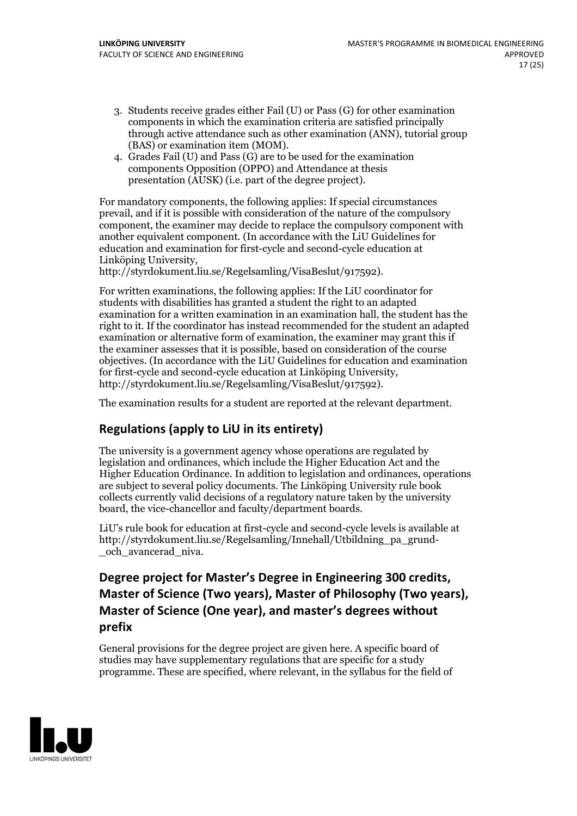- 3. Students receive grades either Fail (U) or Pass (G) for other examination components in which the examination criteria are satisfied principally through active attendance such as other examination (ANN), tutorial group (BAS) or examination item (MOM). 4. Grades Fail (U) and Pass (G) are to be used for the examination
- components Opposition (OPPO) and Attendance at thesis presentation (AUSK) (i.e. part of the degree project).

For mandatory components, the following applies: If special circumstances prevail, and if it is possible with consideration of the nature ofthe compulsory component, the examiner may decide to replace the compulsory component with another equivalent component. (In accordance with the LiU Guidelines for education and examination for first-cycle and second-cycle education at Linköping University, http://styrdokument.liu.se/Regelsamling/VisaBeslut/917592).

For written examinations, the following applies: If the LiU coordinator for students with disabilities has granted a student the right to an adapted examination for a written examination in an examination hall, the student has the right to it. If the coordinator has instead recommended for the student an adapted examination or alternative form of examination, the examiner may grant this if the examiner assesses that it is possible, based on consideration of the course objectives. (In accordance with the LiU Guidelines for education and examination for first-cycle and second-cycle education at Linköping University, http://styrdokument.liu.se/Regelsamling/VisaBeslut/917592).

The examination results for a student are reported at the relevant department.

# **Regulations (applyto LiU in its entirety)**

The university is a government agency whose operations are regulated by legislation and ordinances, which include the Higher Education Act and the Higher Education Ordinance. In addition to legislation and ordinances, operations are subject to several policy documents. The Linköping University rule book collects currently valid decisions of a regulatory nature taken by the university board, the vice-chancellor and faculty/department boards.

LiU's rule book for education at first-cycle and second-cycle levels is available at http://styrdokument.liu.se/Regelsamling/Innehall/Utbildning\_pa\_grund- \_och\_avancerad\_niva.

# **Degree project for Master's Degree in Engineering 300 credits, Master** of Science (Two years), Master of Philosophy (Two years), **Master** of Science (One year), and master's degrees without **prefix**

General provisions for the degree project are given here. A specific board of studies may have supplementary regulations that are specific for a study programme. These are specified, where relevant, in the syllabus for the field of

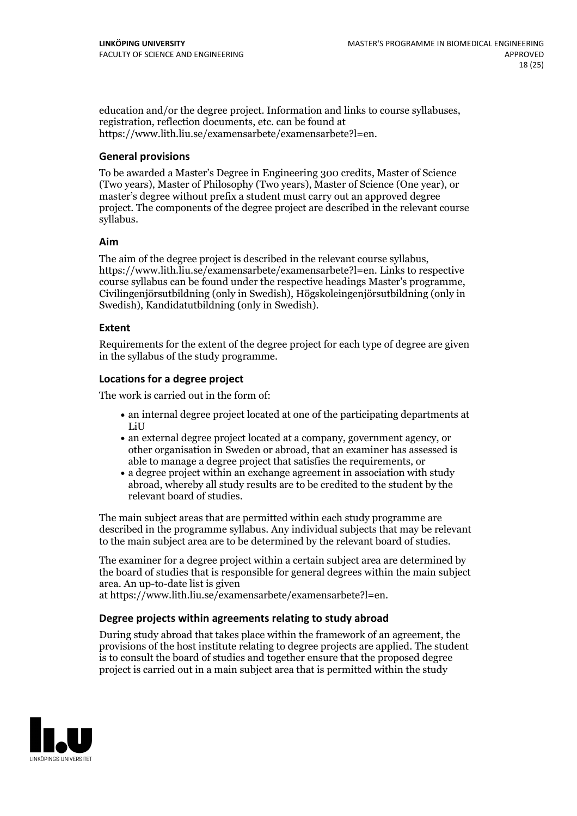education and/or the degree project. Information and links to course syllabuses, registration, reflection documents, etc. can be found at https://www.lith.liu.se/examensarbete/examensarbete?l=en.

#### **General provisions**

To be awarded a Master's Degree in Engineering 300 credits, Master of Science (Two years), Master of Philosophy (Two years), Master of Science (One year), or master's degree without prefix a student must carry out an approved degree project. The components of the degree project are described in the relevant course syllabus.

#### **Aim**

The aim of the degree project is described in the relevant course syllabus, https://www.lith.liu.se/examensarbete/examensarbete?l=en. Links to respective course syllabus can be found under the respective headings Master's programme, Civilingenjörsutbildning (only in Swedish), Högskoleingenjörsutbildning (only in Swedish), Kandidatutbildning (only in Swedish).

#### **Extent**

Requirements for the extent of the degree project for each type of degree are given in the syllabus of the study programme.

#### **Locations for a degree project**

The work is carried out in the form of:

- an internal degree project located at one of the participating departments at LiU
- an external degree project located at a company, government agency, or other organisation in Sweden or abroad, that an examiner has assessed is able to manage a degree project that satisfies the requirements, or
- a degree project within an exchange agreement in association with study abroad, whereby all study results are to be credited to the student by the relevant board of studies.

The main subject areas that are permitted within each study programme are described in the programme syllabus. Any individual subjects that may be relevant to the main subject area are to be determined by the relevant board of studies.

The examiner for a degree project within a certain subject area are determined by the board of studies that is responsible for general degrees within the main subject area. An up-to-date list is given

at https://www.lith.liu.se/examensarbete/examensarbete?l=en.

#### **Degree projects within agreements relatingto study abroad**

During study abroad that takes place within the framework of an agreement, the provisions of the host institute relating to degree projects are applied. The student is to consult the board of studies and together ensure that the proposed degree project is carried out in a main subject area that is permitted within the study

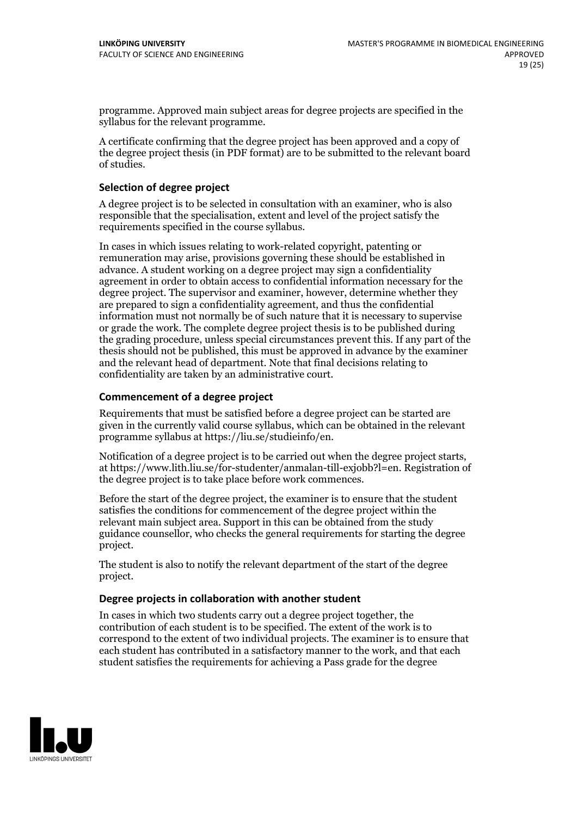programme. Approved main subject areas for degree projects are specified in the syllabus for the relevant programme.

A certificate confirming that the degree project has been approved and a copy of the degree project thesis (in PDF format) are to be submitted to the relevant board of studies.

#### **Selection of degree project**

A degree project is to be selected in consultation with an examiner, who is also responsible that the specialisation, extent and level of the project satisfy the requirements specified in the course syllabus.

In cases in which issues relating to work-related copyright, patenting or remuneration may arise, provisions governing these should be established in advance. A student working on a degree project may sign a confidentiality agreement in order to obtain access to confidential information necessary for the degree project. The supervisor and examiner, however, determine whether they are prepared to sign a confidentiality agreement, and thus the confidential information must not normally be of such nature that it is necessary to supervise or grade the work. The complete degree project thesis is to be published during the grading procedure, unless special circumstances prevent this. If any part of the thesis should not be published, this must be approved in advance by the examiner and the relevant head of department. Note that final decisions relating to confidentiality are taken by an administrative court.

#### **Commencement of a degree project**

Requirements that must be satisfied before a degree project can be started are given in the currently valid course syllabus, which can be obtained in the relevant programme syllabus at https://liu.se/studieinfo/en.

Notification of <sup>a</sup> degree project is to be carried outwhen the degree project starts, at https://www.lith.liu.se/for-studenter/anmalan-till-exjobb?l=en. Registration of the degree project is to take place before work commences.

Before the start of the degree project, the examiner is to ensure that the student satisfies the conditions for commencement of the degree project within the relevant main subject area. Support in this can be obtained from the study guidance counsellor, who checks the general requirements for starting the degree project.

The student is also to notify the relevant department of the start of the degree project.

#### **Degree projects in collaboration with another student**

In cases in which two students carry out a degree project together, the contribution of each student is to be specified. The extent of the work is to correspond to the extent of two individual projects. The examiner is to ensure that each student has contributed in a satisfactory manner to the work, and that each student satisfies the requirements for achieving a Pass grade for the degree

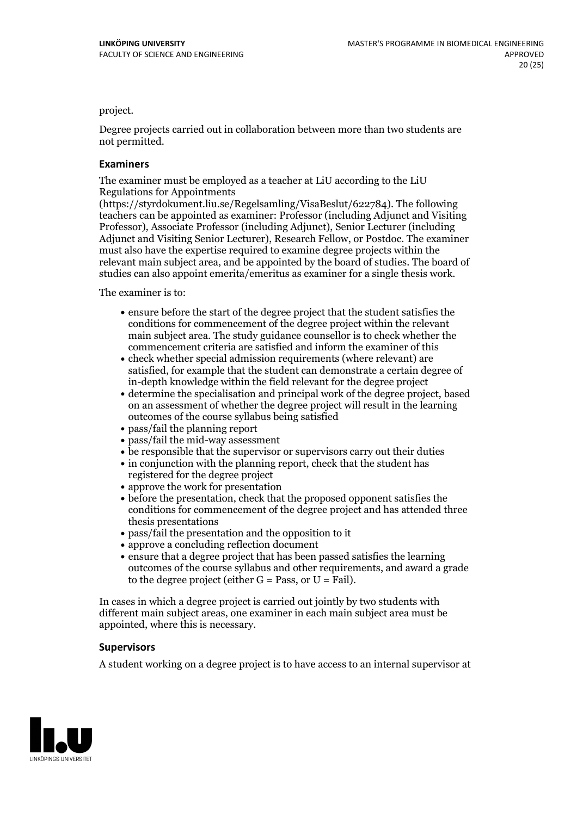project.

Degree projects carried out in collaboration between more than two students are not permitted.

#### **Examiners**

The examiner must be employed as a teacher at LiU according to the LiU Regulations for Appointments

(https://styrdokument.liu.se/Regelsamling/VisaBeslut/622784). The following teachers can be appointed as examiner: Professor (including Adjunct and Visiting Professor), Associate Professor (including Adjunct), Senior Lecturer (including Adjunct and Visiting Senior Lecturer), Research Fellow, or Postdoc. The examiner must also have the expertise required to examine degree projects within the relevant main subject area, and be appointed by the board of studies. The board of studies can also appoint emerita/emeritus as examiner for a single thesis work.

The examiner is to:

- ensure before the start of the degree project that the student satisfies the conditions for commencement of the degree project within the relevant main subject area. The study guidance counsellor is to check whether the commencement criteria are satisfied and inform the examiner of this
- check whether special admission requirements (where relevant) are satisfied, for example that the student can demonstrate a certain degree of in-depth knowledge within the field relevant for the degree project
- determine the specialisation and principal work of the degree project, based on an assessment of whether the degree project will result in the learning outcomes of the course syllabus being satisfied
- pass/fail the planning report
- pass/fail the mid-way assessment
- be responsible that the supervisor or supervisors carry out their duties
- in conjunction with the planning report, check that the student has registered for the degree project
- approve the work for presentation
- before the presentation, check that the proposed opponent satisfies the conditions for commencement of the degree project and has attended three thesis presentations
- pass/fail the presentation and the opposition to it
- approve a concluding reflection document
- ensure that a degree project that has been passed satisfies the learning outcomes of the course syllabus and other requirements, and award a grade to the degree project (either  $G = Pass$ , or  $U = Fail$ ).

In cases in which a degree project is carried out jointly by two students with different main subject areas, one examiner in each main subject area must be appointed, where this is necessary.

#### **Supervisors**

A student working on a degree project is to have access to an internal supervisor at

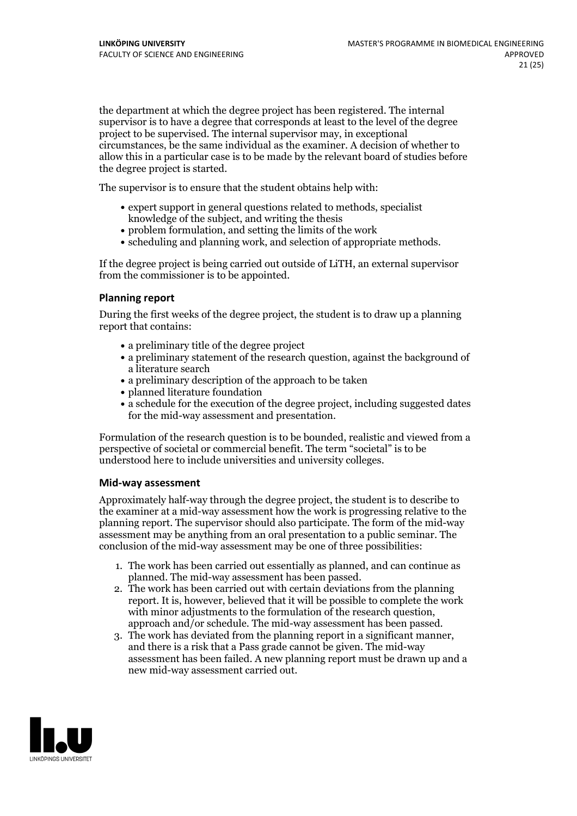the department at which the degree project has been registered. The internal supervisor is to have a degree that corresponds at least to the level of the degree project to be supervised. The internal supervisor may, in exceptional circumstances, be the same individual as the examiner. A decision of whether to allow this in a particular case is to be made by the relevant board of studies before the degree project is started.

The supervisor is to ensure that the student obtains help with:

- expert support in general questions related to methods, specialist knowledge of the subject, and writing the thesis
- problem formulation, and setting the limits of the work
- scheduling and planning work, and selection of appropriate methods.

If the degree project is being carried out outside of LiTH, an external supervisor from the commissioner is to be appointed.

#### **Planning report**

During the first weeks of the degree project, the student is to draw up a planning report that contains:

- $\bullet$  a preliminary title of the degree project
- a preliminary statement of the research question, against the background of a literature search
- a preliminary description of the approach to be taken
- planned literature foundation
- a schedule for the execution of the degree project, including suggested dates for the mid-way assessment and presentation.

Formulation of the research question is to be bounded, realistic and viewed from a perspective ofsocietal or commercial benefit. The term "societal" is to be understood here to include universities and university colleges.

#### **Mid-way assessment**

Approximately half-way through the degree project, the student is to describe to the examiner at a mid-way assessment how the work is progressing relative to the planning report. The supervisor should also participate. The form of the mid-way assessment may be anything from an oral presentation to a public seminar. The conclusion of the mid-way assessment may be one of three possibilities:

- 1. The work has been carried out essentially as planned, and can continue as planned. The mid-way assessment has been passed.
- 2. The work has been carried out with certain deviations from the planning report. It is, however, believed that it will be possible to complete the work with minor adjustments to the formulation of the research question,<br>approach and/or schedule. The mid-way assessment has been passed.<br>3. The work has deviated from the planning report in a significant manner,<br>and there is
- assessment has been failed. A new planning report must be drawn up and a new mid-way assessment carried out.

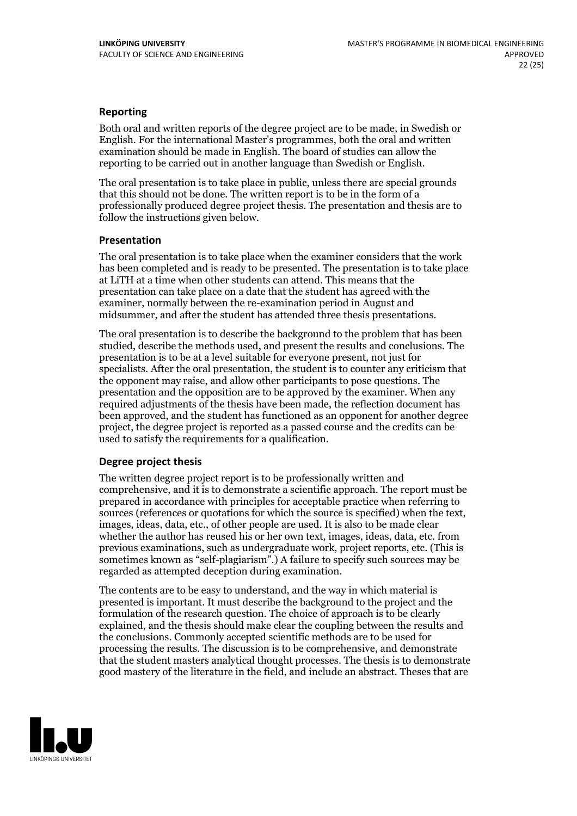#### **Reporting**

Both oral and written reports of the degree project are to be made, in Swedish or English. For the international Master's programmes, both the oral and written examination should be made in English. The board of studies can allow the reporting to be carried out in another language than Swedish or English.

The oral presentation is to take place in public, unless there are special grounds that this should not be done. The written report is to be in the form of a professionally produced degree project thesis. The presentation and thesis are to follow the instructions given below.

#### **Presentation**

The oral presentation is to take place when the examiner considers that the work has been completed and is ready to be presented. The presentation is to take place at LiTH at a time when other students can attend. This means that the presentation can take place on a date that the student has agreed with the examiner, normally between the re-examination period in August and midsummer, and after the student has attended three thesis presentations.

The oral presentation is to describe the background to the problem that has been studied, describe the methods used, and present the results and conclusions. The presentation is to be at a level suitable for everyone present, not just for specialists. After the oral presentation, the student is to counter any criticism that the opponent may raise, and allow other participants to pose questions. The presentation and the opposition are to be approved by the examiner. When any required adjustments of the thesis have been made, the reflection document has been approved, and the student has functioned as an opponent for another degree project, the degree project is reported as a passed course and the credits can be used to satisfy the requirements for a qualification.

#### **Degree project thesis**

The written degree project report is to be professionally written and comprehensive, and it is to demonstrate a scientific approach. The report must be prepared in accordance with principles for acceptable practice when referring to sources (references or quotations for which the source is specified) when the text, images, ideas, data, etc., of other people are used. It is also to be made clear whether the author has reused his or her own text, images, ideas, data, etc. from previous examinations, such asundergraduate work, project reports, etc. (This is sometimes known as"self-plagiarism".) A failure to specify such sources may be regarded as attempted deception during examination.

The contents are to be easy to understand, and the way in which material is presented is important. It must describe the background to the project and the formulation of the research question. The choice of approach is to be clearly explained, and the thesis should make clear the coupling between the results and the conclusions. Commonly accepted scientific methods are to be used for processing the results. The discussion is to be comprehensive, and demonstrate that the student masters analytical thought processes. The thesis is to demonstrate good mastery of the literature in the field, and include an abstract. Theses that are

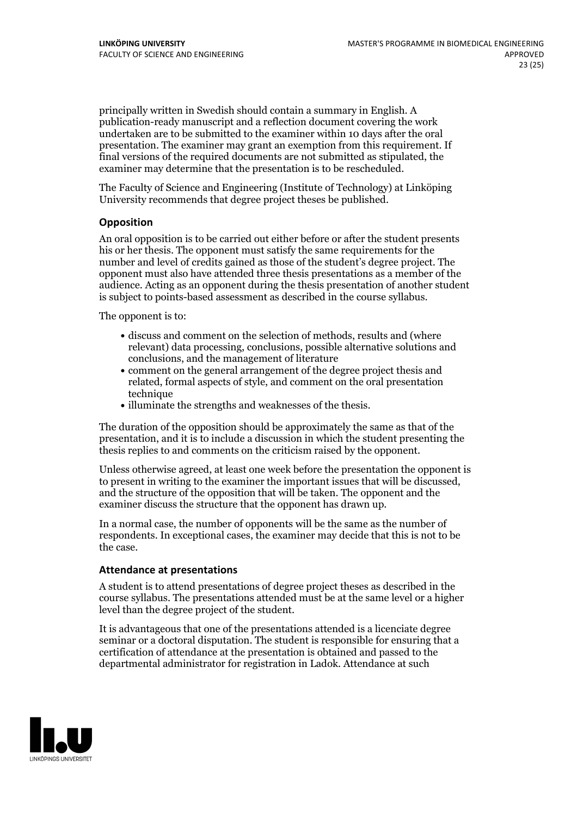principally written in Swedish should contain a summary in English. A publication-ready manuscript and a reflection document covering the work undertaken are to be submitted to the examiner within 10 days after the oral presentation. The examiner may grant an exemption from this requirement. If final versions of the required documents are not submitted as stipulated, the examiner may determine that the presentation is to be rescheduled.

The Faculty of Science and Engineering (Institute of Technology) at Linköping University recommends that degree project theses be published.

#### **Opposition**

An oral opposition is to be carried out either before or after the student presents his or her thesis. The opponent must satisfy the same requirements for the number and level of credits gained as those of the student's degree project. The opponent must also have attended three thesis presentations as a member of the audience. Acting as an opponent during the thesis presentation of another student is subject to points-based assessment as described in the course syllabus.

The opponent is to:

- discuss and comment on the selection of methods, results and (where relevant) data processing, conclusions, possible alternative solutions and conclusions, and the management of literature
- comment on the general arrangement of the degree project thesis and related, formal aspects of style, and comment on the oral presentation technique
- illuminate the strengths and weaknesses of the thesis.

The duration of the opposition should be approximately the same as that of the presentation, and it is to include a discussion in which the student presenting the thesis replies to and comments on the criticism raised by the opponent.

Unless otherwise agreed, at least one week before the presentation the opponent is to present in writing to the examiner the important issues that will be discussed, and the structure ofthe opposition that will be taken. The opponent and the examiner discuss the structure that the opponent has drawn up.

In a normal case, the number of opponents will be the same as the number of respondents. In exceptional cases, the examiner may decide that this is not to be the case.

#### **Attendance at presentations**

A student is to attend presentations of degree project theses as described in the course syllabus. The presentations attended must be at the same level or a higher level than the degree project of the student.

It is advantageous that one of the presentations attended is a licenciate degree seminar or a doctoral disputation. The student is responsible for ensuring that a certification of attendance at the presentation is obtained and passed to the departmental administrator for registration in Ladok. Attendance at such

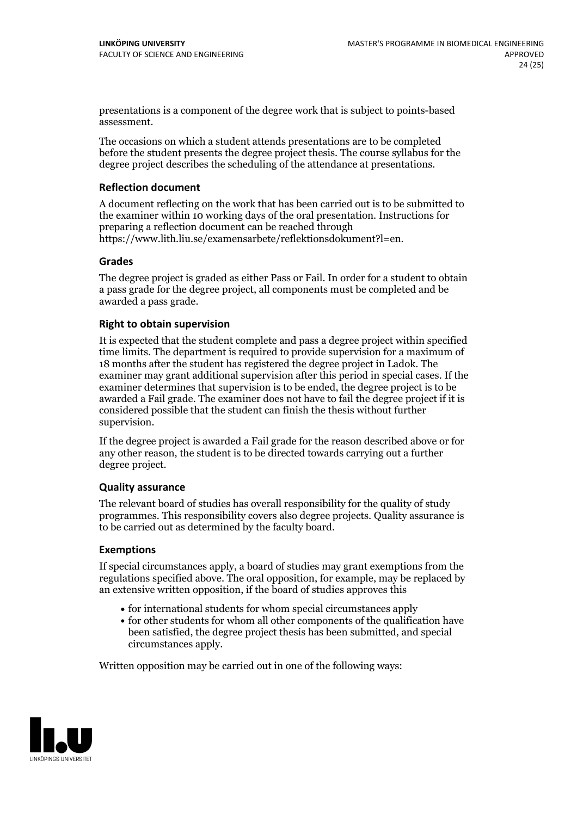presentations is a component of the degree work that is subject to points-based assessment.

The occasions on which a student attends presentations are to be completed before the student presents the degree project thesis. The course syllabus for the degree project describes the scheduling of the attendance at presentations.

#### **Reflection document**

A document reflecting on the work that has been carried outis to be submitted to the examiner within 10 working days of the oral presentation. Instructions for preparing a reflection document can be reached through https://www.lith.liu.se/examensarbete/reflektionsdokument?l=en.

#### **Grades**

The degree project is graded as either Pass or Fail. In order for a student to obtain a pass grade for the degree project, all components must be completed and be awarded a pass grade.

#### **Right to obtain supervision**

It is expected that the student complete and pass a degree project within specified time limits. The department is required to provide supervision for a maximum of 18 months after the student has registered the degree project in Ladok. The examiner may grant additional supervision after this period in special cases. If the examiner determines that supervision is to be ended, the degree project is to be awarded a Fail grade. The examiner does not have to fail the degree project if it is considered possible that the student can finish the thesis without further supervision.

If the degree project is awarded a Fail grade for the reason described above or for any other reason, the student is to be directed towards carrying out a further degree project.

#### **Quality assurance**

The relevant board of studies has overall responsibility for the quality of study programmes. This responsibility covers also degree projects. Quality assurance is to be carried out as determined by the faculty board.

#### **Exemptions**

If special circumstances apply, a board of studies may grant exemptions from the regulations specified above. The oral opposition, for example, may be replaced by an extensive written opposition, if the board of studies approves this

- for international students for whom special circumstances apply
- for other students for whom all other components of the qualification have been satisfied, the degree project thesis has been submitted, and special circumstances apply.

Written opposition may be carried out in one of the following ways: